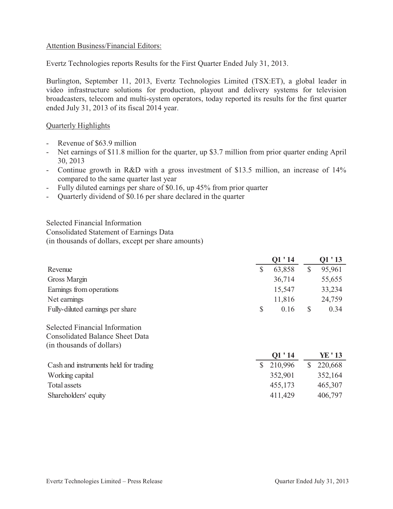## Attention Business/Financial Editors:

Evertz Technologies reports Results for the First Quarter Ended July 31, 2013.

Burlington, September 11, 2013, Evertz Technologies Limited (TSX:ET), a global leader in video infrastructure solutions for production, playout and delivery systems for television broadcasters, telecom and multi-system operators, today reported its results for the first quarter ended July 31, 2013 of its fiscal 2014 year.

### Quarterly Highlights

- Revenue of \$63.9 million
- Net earnings of \$11.8 million for the quarter, up \$3.7 million from prior quarter ending April 30, 2013
- Continue growth in R&D with a gross investment of \$13.5 million, an increase of 14% compared to the same quarter last year
- Fully diluted earnings per share of \$0.16, up 45% from prior quarter
- Quarterly dividend of \$0.16 per share declared in the quarter

Selected Financial Information Consolidated Statement of Earnings Data (in thousands of dollars, except per share amounts)

|                                  | Q1'14 |        | O1 ' 13 |        |
|----------------------------------|-------|--------|---------|--------|
| Revenue                          |       | 63,858 |         | 95,961 |
| Gross Margin                     |       | 36,714 |         | 55,655 |
| Earnings from operations         |       | 15,547 |         | 33,234 |
| Net earnings                     |       | 11,816 |         | 24,759 |
| Fully-diluted earnings per share |       | 0.16   | S       | 0.34   |

Selected Financial Information Consolidated Balance Sheet Data (in thousands of dollars)

|                                       | O1'14     | YE ' 13 |
|---------------------------------------|-----------|---------|
| Cash and instruments held for trading | \$210,996 | 220,668 |
| Working capital                       | 352,901   | 352,164 |
| Total assets                          | 455,173   | 465,307 |
| Shareholders' equity                  | 411,429   | 406,797 |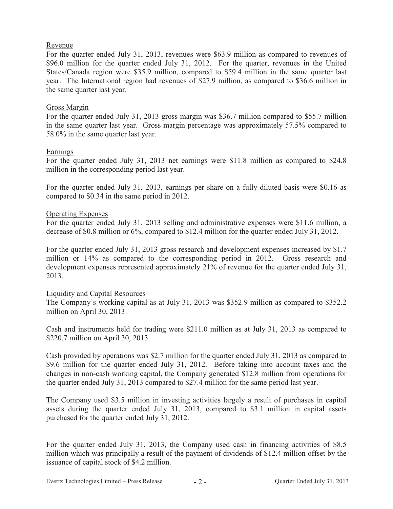## Revenue

For the quarter ended July 31, 2013, revenues were \$63.9 million as compared to revenues of \$96.0 million for the quarter ended July 31, 2012. For the quarter, revenues in the United States/Canada region were \$35.9 million, compared to \$59.4 million in the same quarter last year. The International region had revenues of \$27.9 million, as compared to \$36.6 million in the same quarter last year.

## Gross Margin

For the quarter ended July 31, 2013 gross margin was \$36.7 million compared to \$55.7 million in the same quarter last year. Gross margin percentage was approximately 57.5% compared to 58.0% in the same quarter last year.

## Earnings

For the quarter ended July 31, 2013 net earnings were \$11.8 million as compared to \$24.8 million in the corresponding period last year.

For the quarter ended July 31, 2013, earnings per share on a fully-diluted basis were \$0.16 as compared to \$0.34 in the same period in 2012.

## Operating Expenses

For the quarter ended July 31, 2013 selling and administrative expenses were \$11.6 million, a decrease of \$0.8 million or 6%, compared to \$12.4 million for the quarter ended July 31, 2012.

For the quarter ended July 31, 2013 gross research and development expenses increased by \$1.7 million or 14% as compared to the corresponding period in 2012. Gross research and development expenses represented approximately 21% of revenue for the quarter ended July 31, 2013.

## Liquidity and Capital Resources

The Company's working capital as at July 31, 2013 was \$352.9 million as compared to \$352.2 million on April 30, 2013.

Cash and instruments held for trading were \$211.0 million as at July 31, 2013 as compared to \$220.7 million on April 30, 2013.

Cash provided by operations was \$2.7 million for the quarter ended July 31, 2013 as compared to \$9.6 million for the quarter ended July 31, 2012. Before taking into account taxes and the changes in non-cash working capital, the Company generated \$12.8 million from operations for the quarter ended July 31, 2013 compared to \$27.4 million for the same period last year.

The Company used \$3.5 million in investing activities largely a result of purchases in capital assets during the quarter ended July 31, 2013, compared to \$3.1 million in capital assets purchased for the quarter ended July 31, 2012.

For the quarter ended July 31, 2013, the Company used cash in financing activities of \$8.5 million which was principally a result of the payment of dividends of \$12.4 million offset by the issuance of capital stock of \$4.2 million.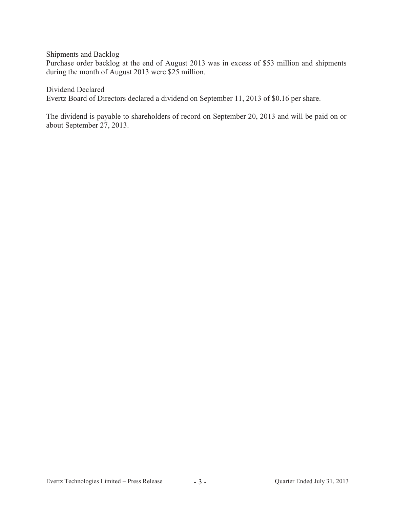## Shipments and Backlog

Purchase order backlog at the end of August 2013 was in excess of \$53 million and shipments during the month of August 2013 were \$25 million.

#### Dividend Declared

Evertz Board of Directors declared a dividend on September 11, 2013 of \$0.16 per share.

The dividend is payable to shareholders of record on September 20, 2013 and will be paid on or about September 27, 2013.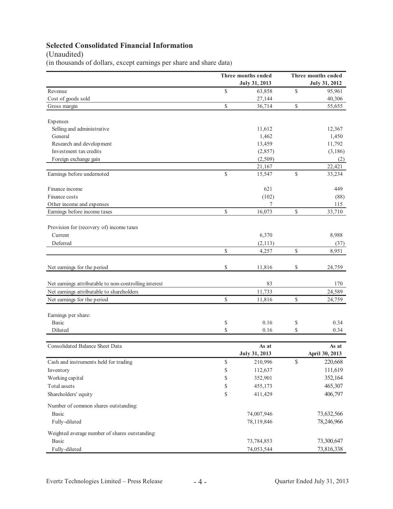# **Selected Consolidated Financial Information**

## (Unaudited)

(in thousands of dollars, except earnings per share and share data)

|                                                       |              | Three months ended   |              | Three months ended |  |  |
|-------------------------------------------------------|--------------|----------------------|--------------|--------------------|--|--|
|                                                       |              | July 31, 2013        |              | July 31, 2012      |  |  |
| Revenue                                               | \$           | 63,858               | $\mathbb{S}$ | 95,961             |  |  |
| Cost of goods sold                                    |              | 27,144               |              | 40,306             |  |  |
| Gross margin                                          | \$           | 36,714               | \$           | 55,655             |  |  |
| Expenses                                              |              |                      |              |                    |  |  |
| Selling and administrative                            |              | 11,612               |              | 12,367             |  |  |
| General                                               |              | 1,462                |              | 1,450              |  |  |
| Research and development                              |              | 13,459               |              | 11,792             |  |  |
| Investment tax credits                                |              | (2,857)              |              | (3,186)            |  |  |
| Foreign exchange gain                                 |              | (2,509)              |              | (2)                |  |  |
|                                                       |              | 21,167               |              | 22,421             |  |  |
| Earnings before undernoted                            | \$           | 15,547               | \$           | 33,234             |  |  |
| Finance income                                        |              | 621                  |              | 449                |  |  |
| Finance costs                                         |              | (102)                |              | (88)               |  |  |
| Other income and expenses                             |              | 7                    |              | 115                |  |  |
| Earnings before income taxes                          | \$           | 16,073               | \$           | 33,710             |  |  |
| Provision for (recovery of) income taxes              |              |                      |              |                    |  |  |
| Current                                               |              | 6,370                |              | 8,988              |  |  |
| Deferred                                              |              | (2, 113)             |              | (37)               |  |  |
|                                                       | $\mathbb{S}$ | 4,257                | \$           | 8,951              |  |  |
| Net earnings for the period                           | \$           | 11,816               | \$           | 24,759             |  |  |
| Net earnings attributable to non-controlling interest |              | 83                   |              | 170                |  |  |
| Net earnings attributable to shareholders             |              | 11,733               |              | 24,589             |  |  |
| Net earnings for the period                           | \$           | 11,816               | \$           | 24,759             |  |  |
| Earnings per share:                                   |              |                      |              |                    |  |  |
| <b>Basic</b>                                          | \$           | 0.16                 | \$           | 0.34               |  |  |
| Diluted                                               | \$           | 0.16                 | \$           | 0.34               |  |  |
| <b>Consolidated Balance Sheet Data</b>                |              | As at                |              | As at              |  |  |
|                                                       |              | <b>July 31, 2013</b> |              | April 30, 2013     |  |  |
| Cash and instruments held for trading                 | \$           | 210,996              | \$           | 220,668            |  |  |
| Inventory                                             | \$           | 112,637              |              | 111,619            |  |  |
| Working capital                                       | \$           | 352,901              |              | 352,164            |  |  |
| Total assets                                          | \$           | 455,173              |              | 465,307            |  |  |
| Shareholders' equity                                  | \$           | 411,429              |              | 406,797            |  |  |
| Number of common shares outstanding:                  |              |                      |              |                    |  |  |
| Basic                                                 |              | 74,007,946           |              | 73,632,566         |  |  |
| Fully-diluted                                         |              | 78,119,846           |              | 78,246,966         |  |  |
| Weighted average number of shares outstanding:        |              |                      |              |                    |  |  |
| <b>Basic</b>                                          |              | 73,784,853           |              | 73,300,647         |  |  |
| Fully-diluted                                         |              | 74,053,544           |              | 73,816,338         |  |  |